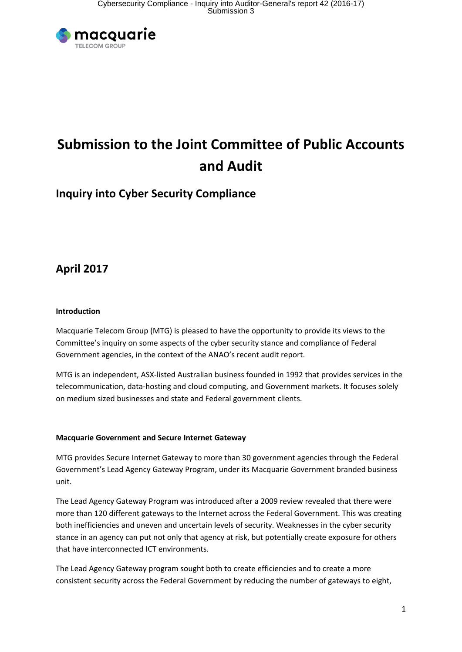

# **Submission to the Joint Committee of Public Accounts and Audit**

## **Inquiry into Cyber Security Compliance**

## **April 2017**

### **Introduction**

Macquarie Telecom Group (MTG) is pleased to have the opportunity to provide its views to the Committee's inquiry on some aspects of the cyber security stance and compliance of Federal Government agencies, in the context of the ANAO's recent audit report.

MTG is an independent, ASX-listed Australian business founded in 1992 that provides services in the telecommunication, data-hosting and cloud computing, and Government markets. It focuses solely on medium sized businesses and state and Federal government clients.

### **Macquarie Government and Secure Internet Gateway**

MTG provides Secure Internet Gateway to more than 30 government agencies through the Federal Government's Lead Agency Gateway Program, under its Macquarie Government branded business unit.

The Lead Agency Gateway Program was introduced after a 2009 review revealed that there were more than 120 different gateways to the Internet across the Federal Government. This was creating both inefficiencies and uneven and uncertain levels of security. Weaknesses in the cyber security stance in an agency can put not only that agency at risk, but potentially create exposure for others that have interconnected ICT environments.

The Lead Agency Gateway program sought both to create efficiencies and to create a more consistent security across the Federal Government by reducing the number of gateways to eight,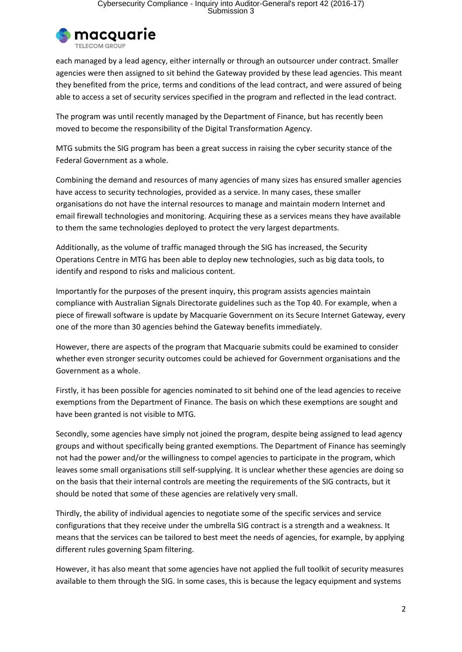

each managed by a lead agency, either internally or through an outsourcer under contract. Smaller agencies were then assigned to sit behind the Gateway provided by these lead agencies. This meant they benefited from the price, terms and conditions of the lead contract, and were assured of being able to access a set of security services specified in the program and reflected in the lead contract.

The program was until recently managed by the Department of Finance, but has recently been moved to become the responsibility of the Digital Transformation Agency.

MTG submits the SIG program has been a great success in raising the cyber security stance of the Federal Government as a whole.

Combining the demand and resources of many agencies of many sizes has ensured smaller agencies have access to security technologies, provided as a service. In many cases, these smaller organisations do not have the internal resources to manage and maintain modern Internet and email firewall technologies and monitoring. Acquiring these as a services means they have available to them the same technologies deployed to protect the very largest departments.

Additionally, as the volume of traffic managed through the SIG has increased, the Security Operations Centre in MTG has been able to deploy new technologies, such as big data tools, to identify and respond to risks and malicious content.

Importantly for the purposes of the present inquiry, this program assists agencies maintain compliance with Australian Signals Directorate guidelines such as the Top 40. For example, when a piece of firewall software is update by Macquarie Government on its Secure Internet Gateway, every one of the more than 30 agencies behind the Gateway benefits immediately.

However, there are aspects of the program that Macquarie submits could be examined to consider whether even stronger security outcomes could be achieved for Government organisations and the Government as a whole.

Firstly, it has been possible for agencies nominated to sit behind one of the lead agencies to receive exemptions from the Department of Finance. The basis on which these exemptions are sought and have been granted is not visible to MTG.

Secondly, some agencies have simply not joined the program, despite being assigned to lead agency groups and without specifically being granted exemptions. The Department of Finance has seemingly not had the power and/or the willingness to compel agencies to participate in the program, which leaves some small organisations still self-supplying. It is unclear whether these agencies are doing so on the basis that their internal controls are meeting the requirements of the SIG contracts, but it should be noted that some of these agencies are relatively very small.

Thirdly, the ability of individual agencies to negotiate some of the specific services and service configurations that they receive under the umbrella SIG contract is a strength and a weakness. It means that the services can be tailored to best meet the needs of agencies, for example, by applying different rules governing Spam filtering.

However, it has also meant that some agencies have not applied the full toolkit of security measures available to them through the SIG. In some cases, this is because the legacy equipment and systems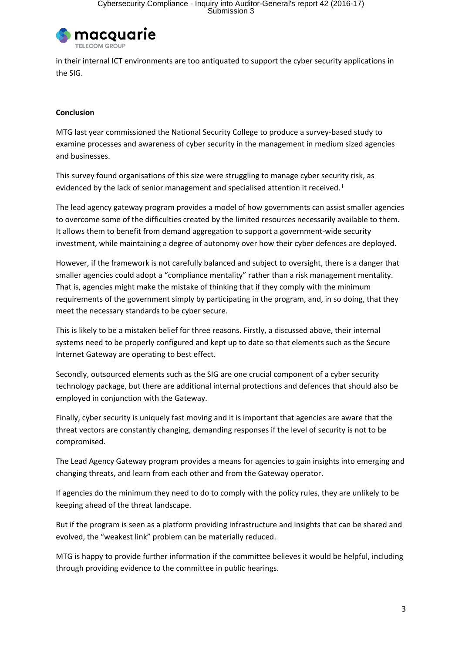

in their internal ICT environments are too antiquated to support the cyber security applications in the SIG.

#### **Conclusion**

MTG last year commissioned the National Security College to produce a survey-based study to examine processes and awareness of cyber security in the management in medium sized agencies and businesses.

This survey found organisations of this size were struggling to manage cyber security risk, as evidenced by the lack of senior management and specialised attention it received.<sup>i</sup>

The lead agency gateway program provides a model of how governments can assist smaller agencies to overcome some of the difficulties created by the limited resources necessarily available to them. It allows them to benefit from demand aggregation to support a government-wide security investment, while maintaining a degree of autonomy over how their cyber defences are deployed.

However, if the framework is not carefully balanced and subject to oversight, there is a danger that smaller agencies could adopt a "compliance mentality" rather than a risk management mentality. That is, agencies might make the mistake of thinking that if they comply with the minimum requirements of the government simply by participating in the program, and, in so doing, that they meet the necessary standards to be cyber secure.

This is likely to be a mistaken belief for three reasons. Firstly, a discussed above, their internal systems need to be properly configured and kept up to date so that elements such as the Secure Internet Gateway are operating to best effect.

Secondly, outsourced elements such as the SIG are one crucial component of a cyber security technology package, but there are additional internal protections and defences that should also be employed in conjunction with the Gateway.

Finally, cyber security is uniquely fast moving and it is important that agencies are aware that the threat vectors are constantly changing, demanding responses if the level of security is not to be compromised.

The Lead Agency Gateway program provides a means for agencies to gain insights into emerging and changing threats, and learn from each other and from the Gateway operator.

If agencies do the minimum they need to do to comply with the policy rules, they are unlikely to be keeping ahead of the threat landscape.

But if the program is seen as a platform providing infrastructure and insights that can be shared and evolved, the "weakest link" problem can be materially reduced.

MTG is happy to provide further information if the committee believes it would be helpful, including through providing evidence to the committee in public hearings.